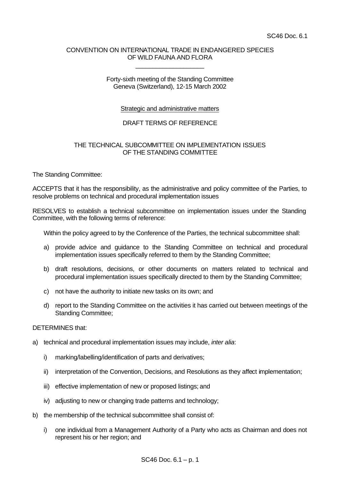## CONVENTION ON INTERNATIONAL TRADE IN ENDANGERED SPECIES OF WILD FAUNA AND FLORA

\_\_\_\_\_\_\_\_\_\_\_\_\_\_\_\_\_\_\_\_

#### Forty-sixth meeting of the Standing Committee Geneva (Switzerland), 12-15 March 2002

## **Strategic and administrative matters**

# DRAFT TERMS OF REFERENCE

# THE TECHNICAL SUBCOMMITTEE ON IMPLEMENTATION ISSUES OF THE STANDING COMMITTEE

The Standing Committee:

ACCEPTS that it has the responsibility, as the administrative and policy committee of the Parties, to resolve problems on technical and procedural implementation issues

RESOLVES to establish a technical subcommittee on implementation issues under the Standing Committee, with the following terms of reference:

Within the policy agreed to by the Conference of the Parties, the technical subcommittee shall:

- a) provide advice and guidance to the Standing Committee on technical and procedural implementation issues specifically referred to them by the Standing Committee;
- b) draft resolutions, decisions, or other documents on matters related to technical and procedural implementation issues specifically directed to them by the Standing Committee;
- c) not have the authority to initiate new tasks on its own; and
- d) report to the Standing Committee on the activities it has carried out between meetings of the Standing Committee;

#### DETERMINES that:

- a) technical and procedural implementation issues may include, *inter alia*:
	- i) marking/labelling/identification of parts and derivatives;
	- ii) interpretation of the Convention, Decisions, and Resolutions as they affect implementation;
	- iii) effective implementation of new or proposed listings; and
	- iv) adjusting to new or changing trade patterns and technology;
- b) the membership of the technical subcommittee shall consist of:
	- i) one individual from a Management Authority of a Party who acts as Chairman and does not represent his or her region; and